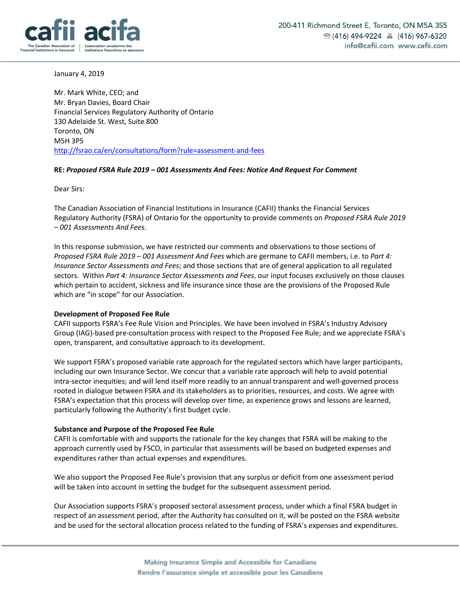

January 4, 2019

Mr. Mark White, CEO; and Mr. Bryan Davies, Board Chair Financial Services Regulatory Authority of Ontario 130 Adelaide St. West, Suite 800 Toronto, ON M5H 3P5 http://fsrao.ca/en/consultations/form?rule=assessment-and-fees

### **RE:** *Proposed FSRA Rule 2019 – 001 Assessments And Fees: Notice And Request For Comment*

Dear Sirs:

The Canadian Association of Financial Institutions in Insurance (CAFII) thanks the Financial Services Regulatory Authority (FSRA) of Ontario for the opportunity to provide comments on *Proposed FSRA Rule 2019 – 001 Assessments And Fees*.

In this response submission, we have restricted our comments and observations to those sections of *Proposed FSRA Rule 2019 – 001 Assessment And Fees* which are germane to CAFII members, i.e. to *Part 4: Insurance Sector Assessments and Fees*; and those sections that are of general application to all regulated sectors. Within *Part 4: Insurance Sector Assessments and Fees*, our input focuses exclusively on those clauses which pertain to accident, sickness and life insurance since those are the provisions of the Proposed Rule which are "in scope" for our Association.

### **Development of Proposed Fee Rule**

CAFII supports FSRA's Fee Rule Vision and Principles. We have been involved in FSRA's Industry Advisory Group (IAG)-based pre-consultation process with respect to the Proposed Fee Rule; and we appreciate FSRA's open, transparent, and consultative approach to its development.

We support FSRA's proposed variable rate approach for the regulated sectors which have larger participants, including our own Insurance Sector. We concur that a variable rate approach will help to avoid potential intra-sector inequities; and will lend itself more readily to an annual transparent and well-governed process rooted in dialogue between FSRA and its stakeholders as to priorities, resources, and costs. We agree with FSRA's expectation that this process will develop over time, as experience grows and lessons are learned, particularly following the Authority's first budget cycle.

### **Substance and Purpose of the Proposed Fee Rule**

CAFII is comfortable with and supports the rationale for the key changes that FSRA will be making to the approach currently used by FSCO, in particular that assessments will be based on budgeted expenses and expenditures rather than actual expenses and expenditures.

We also support the Proposed Fee Rule's provision that any surplus or deficit from one assessment period will be taken into account in setting the budget for the subsequent assessment period.

Our Association supports FSRA's proposed sectoral assessment process, under which a final FSRA budget in respect of an assessment period, after the Authority has consulted on it, will be posted on the FSRA website and be used for the sectoral allocation process related to the funding of FSRA's expenses and expenditures.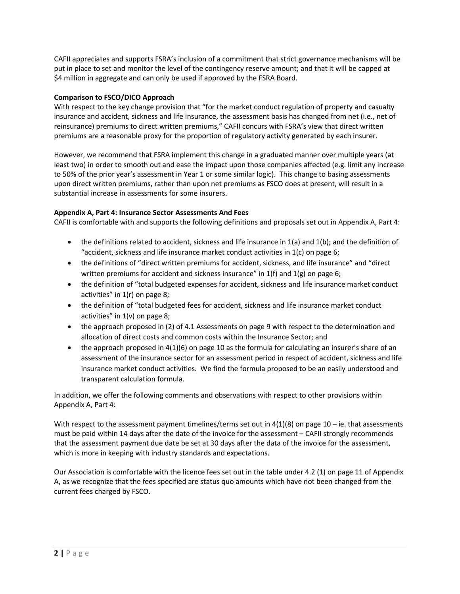CAFII appreciates and supports FSRA's inclusion of a commitment that strict governance mechanisms will be put in place to set and monitor the level of the contingency reserve amount; and that it will be capped at \$4 million in aggregate and can only be used if approved by the FSRA Board.

## **Comparison to FSCO/DICO Approach**

With respect to the key change provision that "for the market conduct regulation of property and casualty insurance and accident, sickness and life insurance, the assessment basis has changed from net (i.e., net of reinsurance) premiums to direct written premiums," CAFII concurs with FSRA's view that direct written premiums are a reasonable proxy for the proportion of regulatory activity generated by each insurer.

However, we recommend that FSRA implement this change in a graduated manner over multiple years (at least two) in order to smooth out and ease the impact upon those companies affected (e.g. limit any increase to 50% of the prior year's assessment in Year 1 or some similar logic). This change to basing assessments upon direct written premiums, rather than upon net premiums as FSCO does at present, will result in a substantial increase in assessments for some insurers.

# **Appendix A, Part 4: Insurance Sector Assessments And Fees**

CAFII is comfortable with and supports the following definitions and proposals set out in Appendix A, Part 4:

- the definitions related to accident, sickness and life insurance in 1(a) and 1(b); and the definition of "accident, sickness and life insurance market conduct activities in 1(c) on page 6;
- the definitions of "direct written premiums for accident, sickness, and life insurance" and "direct written premiums for accident and sickness insurance" in 1(f) and 1(g) on page 6;
- the definition of "total budgeted expenses for accident, sickness and life insurance market conduct activities" in 1(r) on page 8;
- the definition of "total budgeted fees for accident, sickness and life insurance market conduct activities" in  $1(v)$  on page 8;
- the approach proposed in (2) of 4.1 Assessments on page 9 with respect to the determination and allocation of direct costs and common costs within the Insurance Sector; and
- the approach proposed in  $4(1)(6)$  on page 10 as the formula for calculating an insurer's share of an assessment of the insurance sector for an assessment period in respect of accident, sickness and life insurance market conduct activities. We find the formula proposed to be an easily understood and transparent calculation formula.

In addition, we offer the following comments and observations with respect to other provisions within Appendix A, Part 4:

With respect to the assessment payment timelines/terms set out in  $4(1)(8)$  on page  $10 -$  ie. that assessments must be paid within 14 days after the date of the invoice for the assessment – CAFII strongly recommends that the assessment payment due date be set at 30 days after the data of the invoice for the assessment, which is more in keeping with industry standards and expectations.

Our Association is comfortable with the licence fees set out in the table under 4.2 (1) on page 11 of Appendix A, as we recognize that the fees specified are status quo amounts which have not been changed from the current fees charged by FSCO.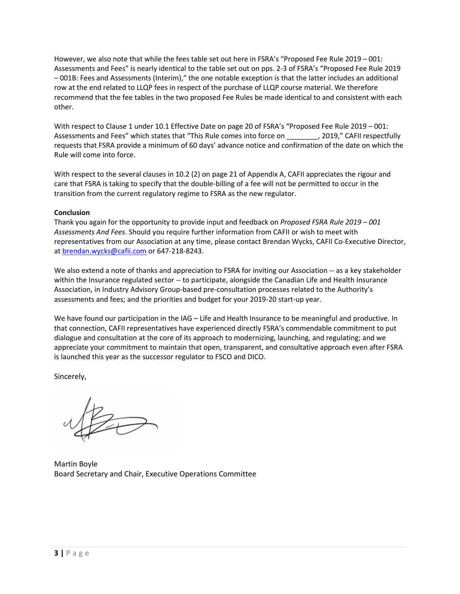However, we also note that while the fees table set out here in FSRA's "Proposed Fee Rule 2019 – 001: Assessments and Fees" is nearly identical to the table set out on pps. 2-3 of FSRA's "Proposed Fee Rule 2019 – 001B: Fees and Assessments (Interim)," the one notable exception is that the latter includes an additional row at the end related to LLQP fees in respect of the purchase of LLQP course material. We therefore recommend that the fee tables in the two proposed Fee Rules be made identical to and consistent with each other.

With respect to Clause 1 under 10.1 Effective Date on page 20 of FSRA's "Proposed Fee Rule 2019 – 001: Assessments and Fees" which states that "This Rule comes into force on \_\_\_\_\_\_\_\_, 2019," CAFII respectfully requests that FSRA provide a minimum of 60 days' advance notice and confirmation of the date on which the Rule will come into force.

With respect to the several clauses in 10.2 (2) on page 21 of Appendix A, CAFII appreciates the rigour and care that FSRA is taking to specify that the double-billing of a fee will not be permitted to occur in the transition from the current regulatory regime to FSRA as the new regulator.

## **Conclusion**

Thank you again for the opportunity to provide input and feedback on *Proposed FSRA Rule 2019 – 001 Assessments And Fees*. Should you require further information from CAFII or wish to meet with representatives from our Association at any time, please contact Brendan Wycks, CAFII Co-Executive Director, at brendan.wycks@cafii.com or 647-218-8243.

We also extend a note of thanks and appreciation to FSRA for inviting our Association -- as a key stakeholder within the Insurance regulated sector -- to participate, alongside the Canadian Life and Health Insurance Association, in Industry Advisory Group-based pre-consultation processes related to the Authority's assessments and fees; and the priorities and budget for your 2019-20 start-up year.

We have found our participation in the IAG – Life and Health Insurance to be meaningful and productive. In that connection, CAFII representatives have experienced directly FSRA's commendable commitment to put dialogue and consultation at the core of its approach to modernizing, launching, and regulating; and we appreciate your commitment to maintain that open, transparent, and consultative approach even after FSRA is launched this year as the successor regulator to FSCO and DICO.

Sincerely,

Martin Boyle Board Secretary and Chair, Executive Operations Committee